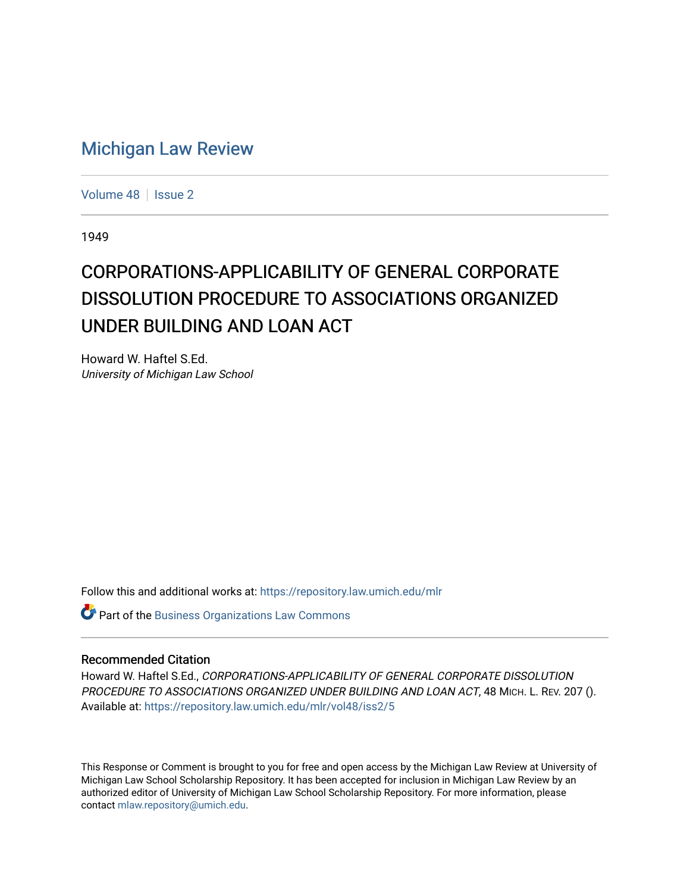## [Michigan Law Review](https://repository.law.umich.edu/mlr)

[Volume 48](https://repository.law.umich.edu/mlr/vol48) | [Issue 2](https://repository.law.umich.edu/mlr/vol48/iss2)

1949

# CORPORATIONS-APPLICABILITY OF GENERAL CORPORATE DISSOLUTION PROCEDURE TO ASSOCIATIONS ORGANIZED UNDER BUILDING AND LOAN ACT

Howard W. Haftel S.Ed. University of Michigan Law School

Follow this and additional works at: [https://repository.law.umich.edu/mlr](https://repository.law.umich.edu/mlr?utm_source=repository.law.umich.edu%2Fmlr%2Fvol48%2Fiss2%2F5&utm_medium=PDF&utm_campaign=PDFCoverPages) 

**Part of the [Business Organizations Law Commons](http://network.bepress.com/hgg/discipline/900?utm_source=repository.law.umich.edu%2Fmlr%2Fvol48%2Fiss2%2F5&utm_medium=PDF&utm_campaign=PDFCoverPages)** 

#### Recommended Citation

Howard W. Haftel S.Ed., CORPORATIONS-APPLICABILITY OF GENERAL CORPORATE DISSOLUTION PROCEDURE TO ASSOCIATIONS ORGANIZED UNDER BUILDING AND LOAN ACT, 48 MICH. L. REV. 207 (). Available at: [https://repository.law.umich.edu/mlr/vol48/iss2/5](https://repository.law.umich.edu/mlr/vol48/iss2/5?utm_source=repository.law.umich.edu%2Fmlr%2Fvol48%2Fiss2%2F5&utm_medium=PDF&utm_campaign=PDFCoverPages)

This Response or Comment is brought to you for free and open access by the Michigan Law Review at University of Michigan Law School Scholarship Repository. It has been accepted for inclusion in Michigan Law Review by an authorized editor of University of Michigan Law School Scholarship Repository. For more information, please contact [mlaw.repository@umich.edu](mailto:mlaw.repository@umich.edu).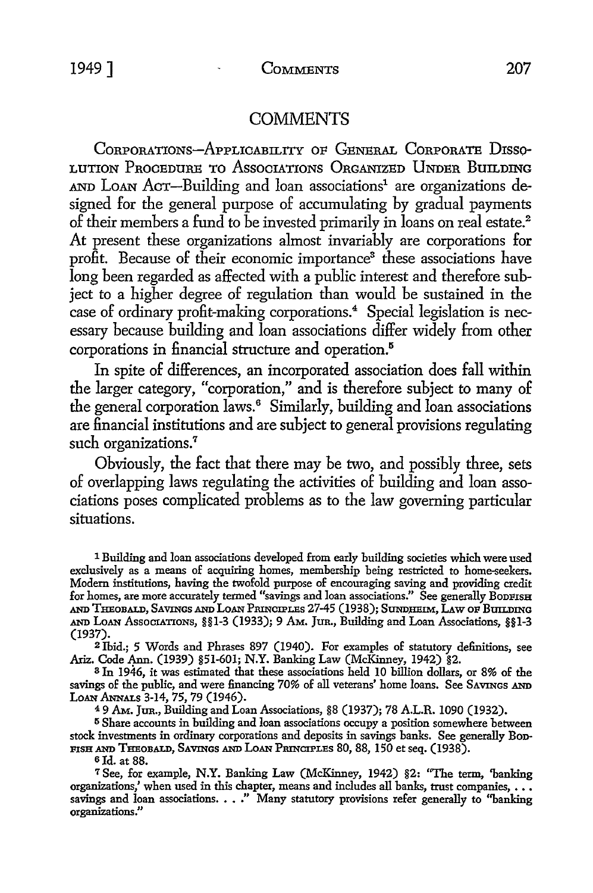## **COMMENTS**

CoRPORATIONs-APPLICABILITY OF GENERAL CORPORATE D1sso-LUTION PROCEDURE TO ASSOCIATIONS ORGANIZED UNDER BUILDING AND LOAN ACT-Building and loan associations<sup>1</sup> are organizations designed for the general purpose of accumulating by gradual payments of their members a fund to be invested primarily in loans on real estate.<sup>2</sup> At present these organizations almost invariably are corporations for profit. Because of their economic importance<sup>3</sup> these associations have long been regarded as affected with a public interest and therefore subject *to* a higher degree of regulation than would be sustained in the case of ordinary profit-making corporations.<sup>4</sup> Special legislation is necessary because building and loan associations differ widely from other corporations in financial structure and operation.<sup>5</sup>

In spite of differences, an incorporated association does fall within the larger category, "corporation," and is therefore subject to many of the general corporation laws.<sup>6</sup> Similarly, building and loan associations are financial institutions and are subject to general provisions regulating such organizations.<sup>7</sup>

Obviously, the fact that there may be two, and possibly three, sets of overlapping laws regulating the activities of building and loan associations poses complicated problems as to the law governing particular situations.

1 Building and loan associations developed from early building societies which were used exclusively as a means of acquiring homes, membership being restricted to home-seekers. Modern institutions, having the twofold purpose of encouraging saving and providing credit for homes, are more accurately termed "savings and loan associations." See generally BoDFISH and Theobald, Savings and Loan Principles 27-45 (1938); Sundheim, Law of Building AND LoAN AssoCJATIONs, §§1-3 (1933); 9 AM. JuR., Building and Loan Associations, §§1-3 (1937).

<sup>2</sup> Ibid.; 5 Words and Phrases 897 (1940). For examples of statutory definitions, see Ariz. Code Ann. (1939) §51-601; N.Y. Banking Law (McKinney, 1942) §2.

<sup>3</sup>In 1946, it was estimated that these associations held 10 billion dollars, or 8% of the savings of the public, and were financing 70% of all veterans' home loans. See SAVINGS AND LOAN ANNALS 3-14, 75, 79 (1946).

4 9 AM. JUR., Building and Loan Associations, §8 (1937); 78 A.L.R. 1090 (1932).

<sup>5</sup> Share accounts in building and loan associations occupy a position somewhere between stock investments in ordinary corporations and deposits in savings banks. See generally Bon-FISH AND THEOBALD, SAVINGS AND LOAN PRINCIPLES 80, 88, 150 et seq. (1938).

6Jd. at 88.

<sup>7</sup>See, for example, **N.Y.** Banking Law (McKinney, 1942) §2: "The term, 'banking organizations,' when used in this chapter, means and includes all banks, trust companies, ••• savings and loan associations. • • ." Many statutory provisions refer generally to ''banking organizations."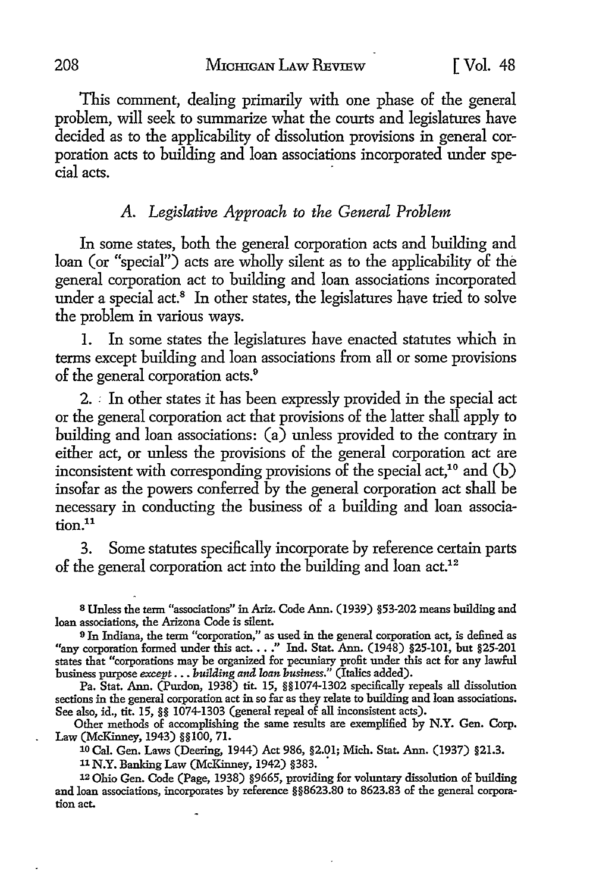This comment, dealing primarily with one phase of the general problem, will seek to summarize what the courts and legislatures have decided as to the applicability of dissolution provisions in general corporation acts to building and loan associations incorporated under special acts.

## *A. Legislative Approach to the General Problem*

In some states, both the general corporation acts and building and loan (or "special") acts are wholly silent as to the applicability of the general corporation act to building and loan associations incorporated under a special act.<sup>8</sup> In other states, the legislatures have tried to solve the problem in various ways.

I. In some states the legislatures have enacted statutes which in terms except building and loan associations from all or some provisions of the general corporation acts.<sup>9</sup>

2. *:* In other states it has been expressly provided in the special act or the general corporation act that provisions of the latter shall apply to building and loan associations:  $(a)$  unless provided to the contrary in either act, or unless the provisions of the general corporation act are inconsistent with corresponding provisions of the special act,<sup>10</sup> and  $(b)$ insofar as the powers conferred by the general corporation act shall be necessary in conducting the business of a building and loan association.11

3. Some statutes specifically incorporate by reference certain parts of the general corporation act into the building and loan act.<sup>12</sup>

Pa. Stat. Ann. (Purdon, 1938) tit. 15, §§1074-1302 specifically repeals all dissolution sections in the general corporation act in so far as they relate to building and loan associations. See also, id., tit. 15, §§ 1074-1303 (general repeal of all inconsistent acts).

Other methods of accomplishing the same results are exemplified by N.Y. Gen. Corp. Law (McKinney, 1943) §§100, 71.

10 Cal. Gen. Laws (Deering, 1944) Act 986, §2.01; Mich. Stat. Ann. (1937) §21.3.

11 N.Y. Banking Law (McKinney, 1942) §383. •

12 Ohio Gen. Code (Page, 1938) §9665, providing for voluntary dissolution of building and loan associations, incorporates by reference §§8623.80 to 8623.83 of the general corporation act.

s Unless the term "associations" in Ariz. Code Ann. (1939) §53-202 means building and loan associations, the Arizona Code is silent.

<sup>9</sup>In Indiana, the term "corporation," as used in the general corporation act, is defined as "any corporation formed under this act •••• " Ind. Stat. Ann. (1948) §25-101, but §25-201 states that "corporations may be organized for pecuniary profit under this act for any lawful business purpose *except •* •• *building and loan business."* (Italics added).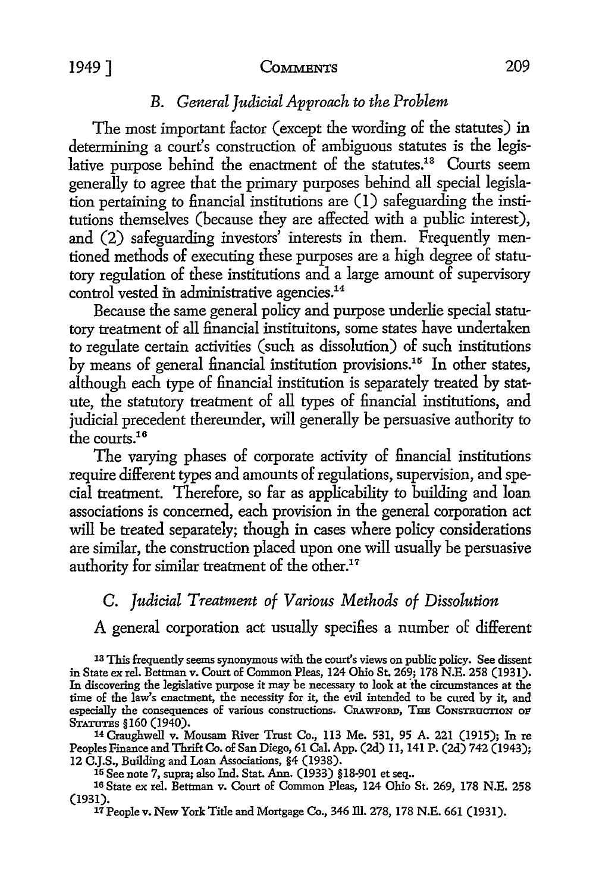#### 1949 T COMMENTS 209

## *B. General Judicial Approach to the Problem*

The most important factor ( except the wording of the statutes) in determining a court's construction of ambiguous statutes is the legislative purpose behind the enactment of the statutes.<sup>13</sup> Courts seem generally to agree that the primary purposes behind all special legislation pertaining to financial institutions are  $(1)$  safeguarding the institutions themselves (because they are affected with a public interest), and (2) safeguarding investors' interests in them. Frequently mentioned methods of executing these purposes are a high degree of statutory regulation of these institutions and a large amount of supervisory control vested in administrative agencies.<sup>14</sup>

Because the same general policy and purpose underlie special statutory treatment of all financial instituitons, some states have undertaken to regulate certain activities (such as dissolution) of such institutions by means of general financial institution provisions.15 In other states, although each type of financial institution is separately treated by statute, the statutory treatment of all types of financial institutions, and judicial precedent thereunder, will generally be persuasive authority *to*  the courts.<sup>16</sup>

The varying phases of corporate activity of financial institutions require different types and amounts of regulations, supervision, and special treatment. Therefore, so far as applicability to building and loan associations is concerned, each provision in the general corporation act will be treated separately; though in cases where policy considerations are similar, the construction placed upon one will usually be persuasive authority for similar treatment of the other.<sup>17</sup>

## C. *Judicial Treatment of Various Methods of Dissolution*

A general corporation act usually specifies a number of different

14 Craughwell v. Mousam River Trust Co., 113 Me. 531, 95 A. 221 (1915); In re Peoples Finance and Thrift Co. of San Diego, 61 Cal. App. (2d) 11, 141 P. (2d) 742 (1943); 12 C.J.S., Building and Loan Associations, §4 (1938).

15 See note 7, supra; also Ind. Stat. Ann. (1933) §18-901 et seq ..

16 State ex rel. Bettman v. Court of Common Pleas, 124 Ohio St. 269, 178 N.E. 258 (1931). 17 People v. New York Title and Mortgage Co., 346 ill. 278, 178 N.E. 661 (1931).

<sup>13</sup> This frequently seems synonymous with the court's views on public policy. See dissent in State ex rel. Bettman v. Court of Common Pleas, 124 Ohio St. 269; 178 N.E. 258 (1931). In discovering the legislative pmpose it may be necessary to look at ·the circumstances at *the*  time of *the* law's enactment, *the* necessity for it, *the* evil intended to be cured by it, and especially the consequences of various constructions. CRAWFORD, THE CONSTRUCTION OF STATUTES §160 (1940).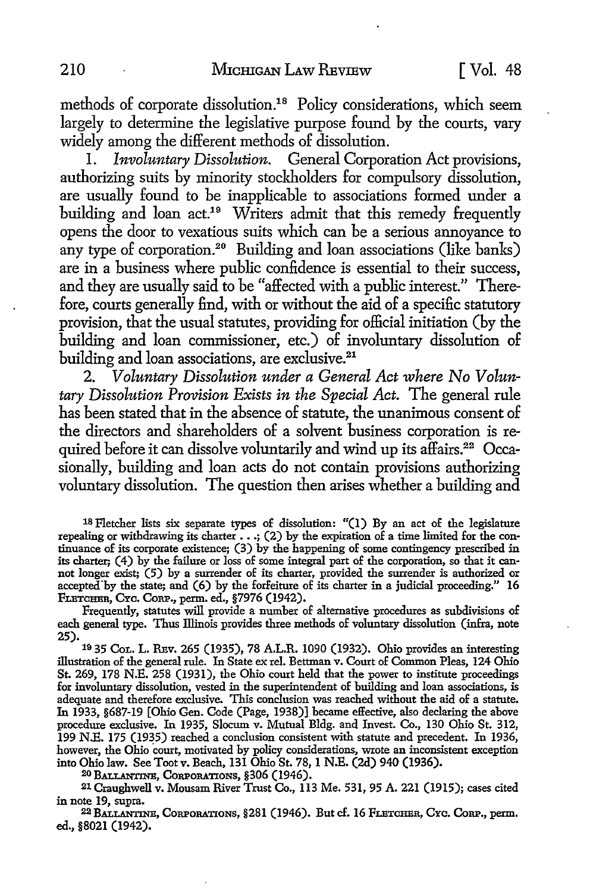methods of corporate dissolution.18 Policy considerations, which seem largely to determine the legislative purpose found by the courts, vary widely among the different methods of dissolution.

I. *Involuntary Dissolution.* General Corporation Act provisions, authorizing suits by minority stockholders for compulsory dissolution, are usually found to be inapplicable to associations formed under a building and loan act.19 Writers admit that this remedy frequently opens the door to vexatious suits which can be a serious annoyance to any type of corporation.<sup>20</sup> Building and loan associations (like banks) are in a business where public confidence is essential to their success, and they are usually said to be "affected with a public interest." Therefore, courts generally find, with or without the aid of a specific statutory provision, that the usual statutes, providing for official initiation (by the building and loan commissioner, etc.) of involuntary dissolution of building and loan associations, are exclusive.<sup>21</sup>

2. *Voluntary Dissolution under a General Act where No Voluntary Dissolution Provision Exists in the Special Act.* The general rule has been stated that in the absence of statute, the unanimous consent of the directors and shareholders of a solvent business corporation is required before it can dissolve voluntarily and wind up its affairs.<sup>22</sup> Occasionally, building and loan acts do not contain provisions authorizing voluntary dissolution. The question then arises whether a building and

18 Fletcher lists six separate types of dissolution: "(l) By an act of the legislature repealing or withdrawing its charter  $\ldots$  ; (2) by the expiration of a time limited for the continuance of its corporate existence; (3) by the happening of some contingency prescribed in its charter; (4) by the failure or loss of some integral part of the corporation, so that it cannot longer exist; (5) by a surrender of its charter, provided the surrender is authorized or accepted"by the state; and (6) by the forfeiture of its charter in a judicial proceeding." **16**  FLETCHER, CYc. CoRP., perm. ed., §7976 (1942).

Frequently, statutes will provide a number of alternative procedures as subdivisions of each general type. Thus Illinois provides three methods of voluntary dissolution (infra, note 25). 10 35 CoL. L. RBv. 265 (1935), 78 A.L.R. 1090 (1932). Ohio provides an interesting

illustration of the general rule. In State ex rel. Bettman v. Court of Common Pleas, 124 Ohio St. 269, 178 N.E. 258 (1931), the Ohio court held that the power to institute proceedings for involuntary dissolution, vested in the superintendent of building and loan associations, is adequate and therefore exclusive. This conclusion was reached without the aid of a statute. In 1933, §687-19 [Ohio Gen. Code (Page, 1938)] became effective, also declaring the above procedure exclusive. In 1935, Slocum v. Mutual Bldg. and Invest. Co., 130 Ohio St. 312, 199 N.E. 175 (1935) reached a conclusion consistent with statute and precedent. In 1936, however, the Ohio court, motivated by policy considerations, wrote an inconsistent exception into Ohio law. See Toot v. Beach, 131 Ohio St. 78, 1 N.E. (2d) 940 (1936).

20 BALLANTINE, CORPORATIONS, §306 (1946).

21 Craughwell v. Mousam River Trust Co., 113 Me. 531, 95 A. 221 (1915); cases cited in note 19, supra.

22 BALLANTINE, CORPORATIONS, §281 (1946). But cf. 16 FLETCHBR, CYc. CoRP., perm. ed., §8021 (1942).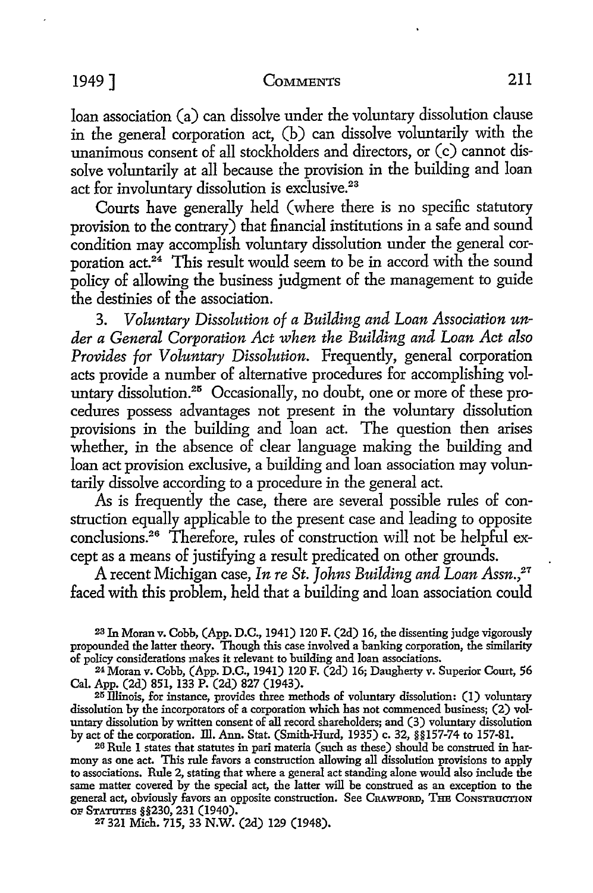## 1949] COMMENTS 211

loan association (a) can dissolve under the voluntary dissolution clause in the general corporation act, (b) can dissolve voluntarily with the unanimous consent of all stockholders and directors, or (c) cannot dissolve voluntarily at all because the provision in the building and loan act for involuntary dissolution is exclusive.<sup>23</sup>

Courts have generally held ( where there is no specific statutory provision to the contrary) that financial institutions in a safe and sound condition may accomplish voluntary dissolution under the general corporation act.24 This result would seem to be in accord with the sound policy of allowing the business judgment of the management to guide the destinies of the association.

3. *Voluntary Dissolution of a Building and Loan Association under a General Corporation Act when the Building and Loan Act also Provides for Voluntary Dissolution.* Frequently, general corporation acts provide a number of alternative procedures for accomplishing voluntary dissolution.<sup>25</sup> Occasionally, no doubt, one or more of these procedures possess advantages not present in the voluntary dissolution provisions in the building and loan act. The question then arises whether, in the absence of clear language making the building and loan act provision exclusive, a building and loan association may voluntarily dissolve according to a procedure in the general act.

As is frequently the case, there are several possible rules of construction equally applicable *to* the present case and leading *to* opposite conclusions.26 Therefore, rules of construction will not be helpful except as a means of justifying a result predicated on other grounds.

A recent Michigan case, *In re St. Johns Building and Loan Assn.,21*  faced with this problem, held that a building and loan association could

2s In Moran v. Cobb, (App. D.C., 1941) 120 F. (2d) 16, the dissenting judge vigorously propounded the latter theory. Though this case involved a banking corporation, the similarity of policy considerations makes it relevant to building and loan associations.

24 Moran v. Cobb, (App. D.C., 194 I) 120 F. (2d) 16; Daugherty v. Superior Court, 56 Cal. App. (2d) 851, 133 P. (2d) 827 (1943).

25 Illinois, for instance, provides three methods of voluntary dissolution: (1) voluntary dissolution by the incorporators of a corporation which has not commenced business; (2) voluntary dissolution by written consent of all record shareholders; and (3) voluntary dissolution by act of the corporation. Ill. Ann. Stat. (Smith-Hurd, 1935) c. 32, §§157-74 to 157-81.

26 Rule 1 states that statutes in pari materia (such as these) should be construed in harmony as one act. This rule favors a construction allowing all dissolution provisions to apply to associations. Rule 2, stating that where a general act standing alone would also include the same matter covered by the special act, the latter will be construed as an exception to the general act, obviously favors an opposite construction. See CRAWFORD, THB CONSTRUCTION OP STATUTES §§230, 231 (1940).

*21* 321 Mich. 715, 33 N.W. (2d) 129 (1948).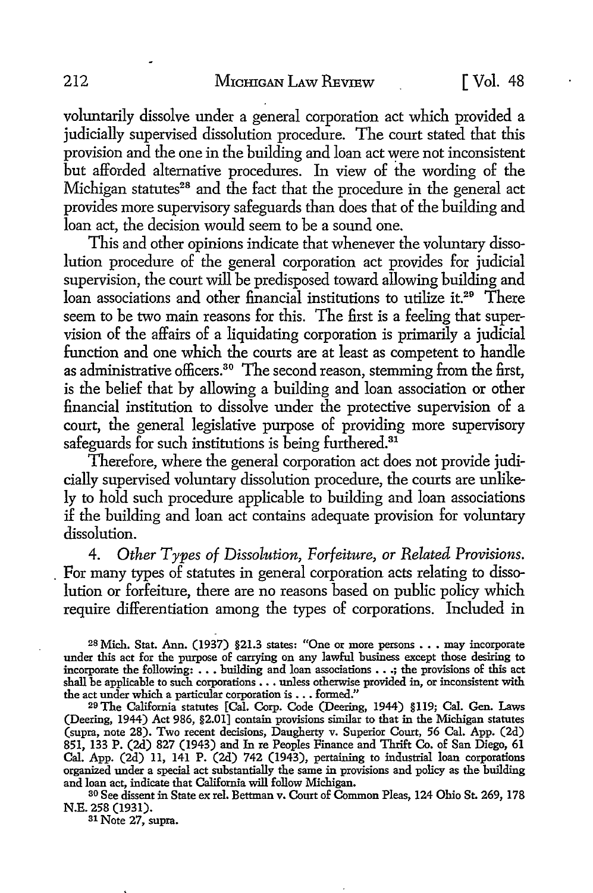voluntarily dissolve under a general corporation act which provided a judicially supervised dissolution procedure. The court stated that this provision and the one in the building and loan act were not inconsistent but afforded alternative procedures. In view of the wording of the Michigan statutes<sup>28</sup> and the fact that the procedure in the general act provides more supervisory safeguards than does that of the building and loan act, the decision would seem to be a sound one.

This and other opinions indicate that whenever the voluntary dissolution procedure of the general corporation act provides for judicial supervision, the court will be predisposed toward allowing building and loan associations and other financial institutions to utilize it.<sup>29</sup> There seem to be two main reasons for this. The first is a feeling that supervision of the affairs of a liquidating corporation is primarily a judicial function and one which the courts are at least as competent to handle as administrative officers.<sup>30</sup> The second reason, stemming from the first, is the belief that by allowing a building and loan association or other financial institution to dissolve under the protective supervision of a court, the general legislative purpose of providing more supervisory safeguards for such institutions is being furthered.<sup>31</sup>

Therefore, where the general corporation act does not provide judicially supervised voluntary dissolution procedure, the courts are unlikely to hold such procedure applicable to building and loan associations if the building and loan act contains adequate provision for voluntary dissolution.

4. Other Types of Dissolution, Forfeiture, or Related Provisions. . For many types of statutes in general corporation acts relating to dissolution or forfeiture, there are no reasons based on public policy which require differentiation among the types of corporations. Included in

<sup>28</sup>Mich. Stat. Ann. (1937) §21.3 states: "One or more persons ••• may incorporate under this act for the purpose of carrying on any lawful business except those desiring to incorporate the following:  $\dots$  building and loan associations  $\dots$ ; the provisions of this act shall be applicable to such corporations . . . unless otherwise provided in, or inconsistent with the act under which a particular corporation is  $\dots$  formed."

29 The California statutes [Cal. Corp. Code (Deering, 1944) §119; Cal. Gen. Laws (Deering, 1944) Act 986, §2.01] contain provisions similar to that in the Michigan statutes (supra, note 28). Two recent decisions, Daugherty v. Superior Court, 56 Cal. App. (2d) 851, 133 P. (2d) 827 (1943) and In re Peoples Finance and Thrift Co. of San Diego, 61 Cal. App. (2d) 11, 141 P. (2d) 742 (1943), pertaining to industrial loan corporations organized under a special act substantially the same in provisions and policy as the building and loan act, indicate that California will follow Michigan.

so See dissent in State ex rel. Bettman v. Court of Common Pleas, 124 Ohio St. 269, 178 N.E. 258 (1931).

31 Note 27, supra.